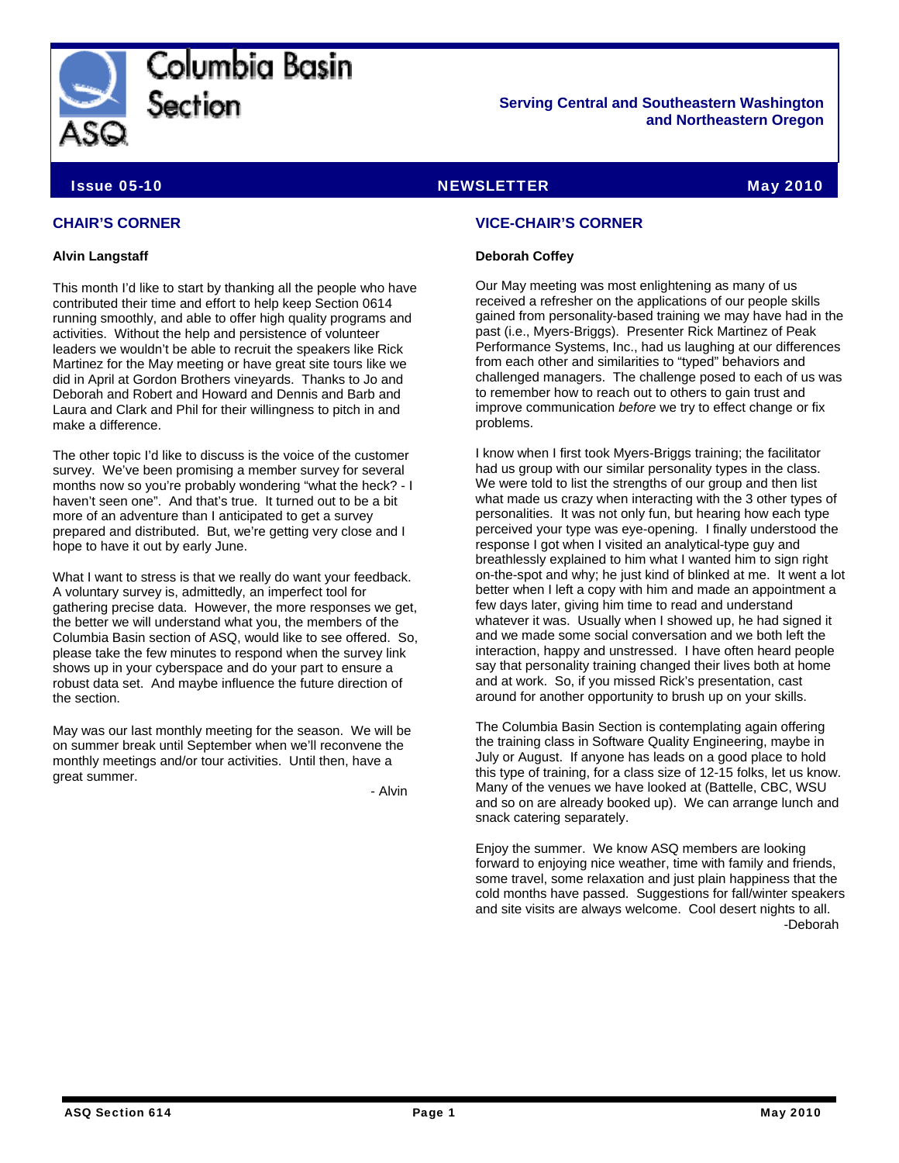

Columbia Basin Section

**Serving Central and Southeastern Washington and Northeastern Oregon** 

# Issue 05-10 NEWSLETTER May 2010

## **CHAIR'S CORNER**

#### **Alvin Langstaff**

This month I'd like to start by thanking all the people who have contributed their time and effort to help keep Section 0614 running smoothly, and able to offer high quality programs and activities. Without the help and persistence of volunteer leaders we wouldn't be able to recruit the speakers like Rick Martinez for the May meeting or have great site tours like we did in April at Gordon Brothers vineyards. Thanks to Jo and Deborah and Robert and Howard and Dennis and Barb and Laura and Clark and Phil for their willingness to pitch in and make a difference.

The other topic I'd like to discuss is the voice of the customer survey. We've been promising a member survey for several months now so you're probably wondering "what the heck? - I haven't seen one". And that's true. It turned out to be a bit more of an adventure than I anticipated to get a survey prepared and distributed. But, we're getting very close and I hope to have it out by early June.

What I want to stress is that we really do want your feedback. A voluntary survey is, admittedly, an imperfect tool for gathering precise data. However, the more responses we get, the better we will understand what you, the members of the Columbia Basin section of ASQ, would like to see offered. So, please take the few minutes to respond when the survey link shows up in your cyberspace and do your part to ensure a robust data set. And maybe influence the future direction of the section.

May was our last monthly meeting for the season. We will be on summer break until September when we'll reconvene the monthly meetings and/or tour activities. Until then, have a great summer.

- Alvin

## **VICE-CHAIR'S CORNER**

#### **Deborah Coffey**

Our May meeting was most enlightening as many of us received a refresher on the applications of our people skills gained from personality-based training we may have had in the past (i.e., Myers-Briggs). Presenter Rick Martinez of Peak Performance Systems, Inc., had us laughing at our differences from each other and similarities to "typed" behaviors and challenged managers. The challenge posed to each of us was to remember how to reach out to others to gain trust and improve communication *before* we try to effect change or fix problems.

I know when I first took Myers-Briggs training; the facilitator had us group with our similar personality types in the class. We were told to list the strengths of our group and then list what made us crazy when interacting with the 3 other types of personalities. It was not only fun, but hearing how each type perceived your type was eye-opening. I finally understood the response I got when I visited an analytical-type guy and breathlessly explained to him what I wanted him to sign right on-the-spot and why; he just kind of blinked at me. It went a lot better when I left a copy with him and made an appointment a few days later, giving him time to read and understand whatever it was. Usually when I showed up, he had signed it and we made some social conversation and we both left the interaction, happy and unstressed. I have often heard people say that personality training changed their lives both at home and at work. So, if you missed Rick's presentation, cast around for another opportunity to brush up on your skills.

The Columbia Basin Section is contemplating again offering the training class in Software Quality Engineering, maybe in July or August. If anyone has leads on a good place to hold this type of training, for a class size of 12-15 folks, let us know. Many of the venues we have looked at (Battelle, CBC, WSU and so on are already booked up). We can arrange lunch and snack catering separately.

Enjoy the summer. We know ASQ members are looking forward to enjoying nice weather, time with family and friends, some travel, some relaxation and just plain happiness that the cold months have passed. Suggestions for fall/winter speakers and site visits are always welcome. Cool desert nights to all. -Deborah